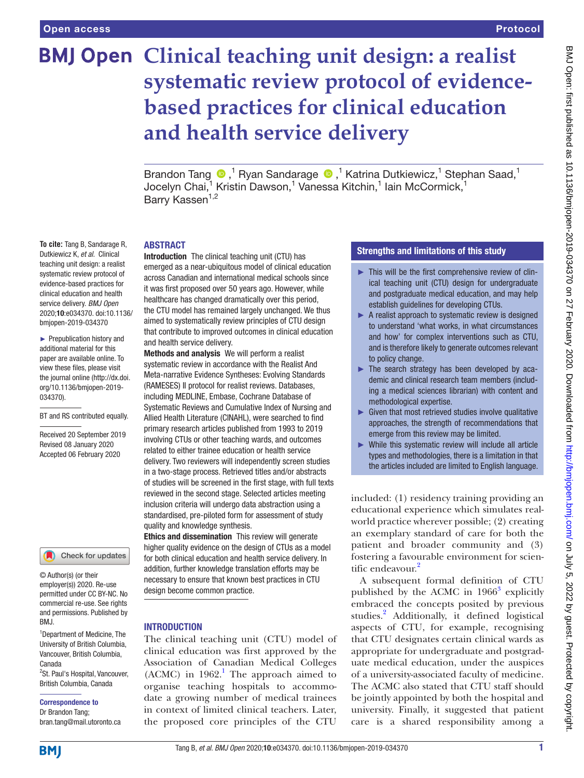**To cite:** Tang B, Sandarage R, Dutkiewicz K, *et al*. Clinical teaching unit design: a realist systematic review protocol of evidence-based practices for clinical education and health service delivery. *BMJ Open* 2020;10:e034370. doi:10.1136/ bmjopen-2019-034370 ► Prepublication history and additional material for this paper are available online. To view these files, please visit the journal online (http://dx.doi. org/10.1136/bmjopen-2019-

BT and RS contributed equally. Received 20 September 2019 Revised 08 January 2020 Accepted 06 February 2020

# **BMJ Open Clinical teaching unit design: a realist systematic review protocol of evidencebased practices for clinical education and health service delivery**

Brandon Tang  $\bigcirc$ ,<sup>1</sup> Ryan Sandarage  $\bigcirc$ ,<sup>1</sup> Katrina Dutkiewicz,<sup>1</sup> Stephan Saad,<sup>1</sup> Jocelyn Chai,<sup>1</sup> Kristin Dawson,<sup>1</sup> Vanessa Kitchin,<sup>1</sup> Iain McCormick,<sup>1</sup> Barry Kassen<sup>1,2</sup>

#### **ARSTRACT**

Introduction The clinical teaching unit (CTU) has emerged as a near-ubiquitous model of clinical education across Canadian and international medical schools since it was first proposed over 50 years ago. However, while healthcare has changed dramatically over this period, the CTU model has remained largely unchanged. We thus aimed to systematically review principles of CTU design that contribute to improved outcomes in clinical education and health service delivery.

Methods and analysis We will perform a realist systematic review in accordance with the Realist And Meta-narrative Evidence Syntheses: Evolving Standards (RAMESES) II protocol for realist reviews. Databases, including MEDLINE, Embase, Cochrane Database of Systematic Reviews and Cumulative Index of Nursing and Allied Health Literature (CINAHL), were searched to find primary research articles published from 1993 to 2019 involving CTUs or other teaching wards, and outcomes related to either trainee education or health service delivery. Two reviewers will independently screen studies in a two-stage process. Retrieved titles and/or abstracts of studies will be screened in the first stage, with full texts reviewed in the second stage. Selected articles meeting inclusion criteria will undergo data abstraction using a standardised, pre-piloted form for assessment of study quality and knowledge synthesis.

Ethics and dissemination This review will generate higher quality evidence on the design of CTUs as a model for both clinical education and health service delivery. In addition, further knowledge translation efforts may be necessary to ensure that known best practices in CTU design become common practice.

## **INTRODUCTION**

The clinical teaching unit (CTU) model of clinical education was first approved by the Association of Canadian Medical Colleges  $(ACMC)$  in 1962.<sup>1</sup> The approach aimed to organise teaching hospitals to accommodate a growing number of medical trainees in context of limited clinical teachers. Later, the proposed core principles of the CTU

# Strengths and limitations of this study

- ► This will be the first comprehensive review of clinical teaching unit (CTU) design for undergraduate and postgraduate medical education, and may help establish guidelines for developing CTUs.
- ► A realist approach to systematic review is designed to understand 'what works, in what circumstances and how' for complex interventions such as CTU, and is therefore likely to generate outcomes relevant to policy change.
- ► The search strategy has been developed by academic and clinical research team members (including a medical sciences librarian) with content and methodological expertise.
- $\blacktriangleright$  Given that most retrieved studies involve qualitative approaches, the strength of recommendations that emerge from this review may be limited.
- ► While this systematic review will include all article types and methodologies, there is a limitation in that the articles included are limited to English language.

included: (1) residency training providing an educational experience which simulates realworld practice wherever possible; (2) creating an exemplary standard of care for both the patient and broader community and (3) fostering a favourable environment for scien-tific endeavour.<sup>[2](#page-3-1)</sup>

A subsequent formal definition of CTU published by the ACMC in  $1966<sup>3</sup>$  $1966<sup>3</sup>$  $1966<sup>3</sup>$  explicitly embraced the concepts posited by previous studies.<sup>[2](#page-3-1)</sup> Additionally, it defined logistical aspects of CTU, for example, recognising that CTU designates certain clinical wards as appropriate for undergraduate and postgraduate medical education, under the auspices of a university-associated faculty of medicine. The ACMC also stated that CTU staff should be jointly appointed by both the hospital and university. Finally, it suggested that patient care is a shared responsibility among a

© Author(s) (or their

034370).

employer(s)) 2020. Re-use permitted under CC BY-NC. No commercial re-use. See rights and permissions. Published by BMJ.

Check for updates

1 Department of Medicine, The University of British Columbia, Vancouver, British Columbia, Canada

<sup>2</sup>St. Paul's Hospital, Vancouver, British Columbia, Canada

Correspondence to

Dr Brandon Tang; bran.tang@mail.utoronto.ca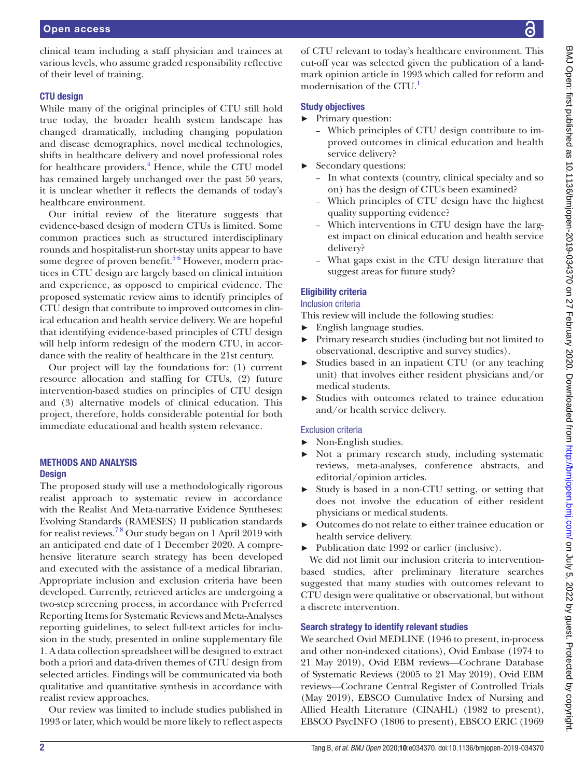clinical team including a staff physician and trainees at various levels, who assume graded responsibility reflective of their level of training.

# CTU design

While many of the original principles of CTU still hold true today, the broader health system landscape has changed dramatically, including changing population and disease demographics, novel medical technologies, shifts in healthcare delivery and novel professional roles for healthcare providers.<sup>[4](#page-3-3)</sup> Hence, while the CTU model has remained largely unchanged over the past 50 years, it is unclear whether it reflects the demands of today's healthcare environment.

Our initial review of the literature suggests that evidence-based design of modern CTUs is limited. Some common practices such as structured interdisciplinary rounds and hospitalist-run short-stay units appear to have some degree of proven benefit.<sup>56</sup> However, modern practices in CTU design are largely based on clinical intuition and experience, as opposed to empirical evidence. The proposed systematic review aims to identify principles of CTU design that contribute to improved outcomes in clinical education and health service delivery. We are hopeful that identifying evidence-based principles of CTU design will help inform redesign of the modern CTU, in accordance with the reality of healthcare in the 21st century.

Our project will lay the foundations for: (1) current resource allocation and staffing for CTUs, (2) future intervention-based studies on principles of CTU design and (3) alternative models of clinical education. This project, therefore, holds considerable potential for both immediate educational and health system relevance.

#### Methods and analysis **Design**

The proposed study will use a methodologically rigorous realist approach to systematic review in accordance with the Realist And Meta-narrative Evidence Syntheses: Evolving Standards (RAMESES) II publication standards for realist reviews.<sup>78</sup> Our study began on 1 April 2019 with an anticipated end date of 1 December 2020. A comprehensive literature search strategy has been developed and executed with the assistance of a medical librarian. Appropriate inclusion and exclusion criteria have been developed. Currently, retrieved articles are undergoing a two-step screening process, in accordance with Preferred Reporting Items for Systematic Reviews and Meta-Analyses reporting guidelines, to select full-text articles for inclusion in the study, presented in [online supplementary file](https://dx.doi.org/10.1136/bmjopen-2019-034370) [1.](https://dx.doi.org/10.1136/bmjopen-2019-034370) A data collection spreadsheet will be designed to extract both a priori and data-driven themes of CTU design from selected articles. Findings will be communicated via both qualitative and quantitative synthesis in accordance with realist review approaches.

Our review was limited to include studies published in 1993 or later, which would be more likely to reflect aspects

of CTU relevant to today's healthcare environment. This cut-off year was selected given the publication of a landmark opinion article in 1993 which called for reform and modernisation of the CTU.<sup>1</sup>

# Study objectives

- ► Primary question:
	- Which principles of CTU design contribute to improved outcomes in clinical education and health service delivery?
- ► Secondary questions:
	- In what contexts (country, clinical specialty and so on) has the design of CTUs been examined?
	- Which principles of CTU design have the highest quality supporting evidence?
	- Which interventions in CTU design have the largest impact on clinical education and health service delivery?
	- What gaps exist in the CTU design literature that suggest areas for future study?

# Eligibility criteria

# Inclusion criteria

This review will include the following studies:

- ► English language studies.
- ► Primary research studies (including but not limited to observational, descriptive and survey studies).
- Studies based in an inpatient CTU (or any teaching unit) that involves either resident physicians and/or medical students.
- ► Studies with outcomes related to trainee education and/or health service delivery.

# Exclusion criteria

- ► Non-English studies.
- ► Not a primary research study, including systematic reviews, meta-analyses, conference abstracts, and editorial/opinion articles.
- Study is based in a non-CTU setting, or setting that does not involve the education of either resident physicians or medical students.
- ► Outcomes do not relate to either trainee education or health service delivery.
- ► Publication date 1992 or earlier (inclusive).

We did not limit our inclusion criteria to interventionbased studies, after preliminary literature searches suggested that many studies with outcomes relevant to CTU design were qualitative or observational, but without a discrete intervention.

## Search strategy to identify relevant studies

We searched Ovid MEDLINE (1946 to present, in-process and other non-indexed citations), Ovid Embase (1974 to 21 May 2019), Ovid EBM reviews—Cochrane Database of Systematic Reviews (2005 to 21 May 2019), Ovid EBM reviews—Cochrane Central Register of Controlled Trials (May 2019), EBSCO Cumulative Index of Nursing and Allied Health Literature (CINAHL) (1982 to present), EBSCO PsycINFO (1806 to present), EBSCO ERIC (1969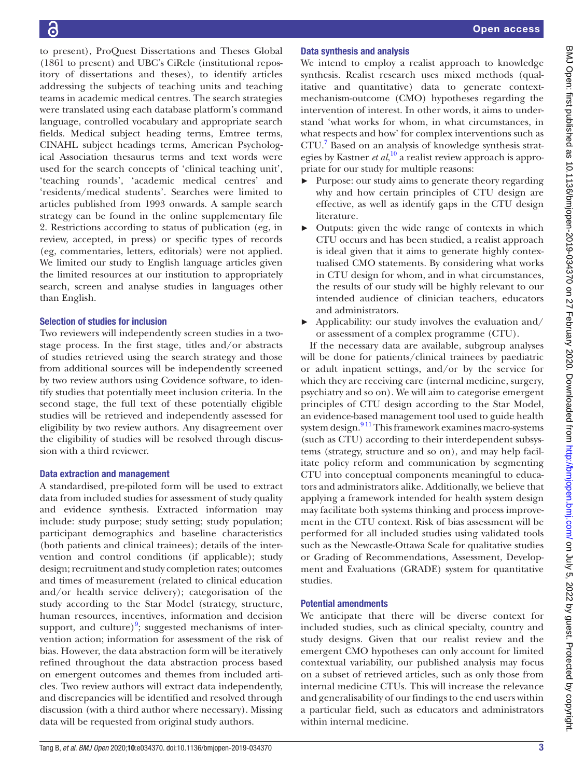to present), ProQuest Dissertations and Theses Global (1861 to present) and UBC's CiRcle (institutional repository of dissertations and theses), to identify articles addressing the subjects of teaching units and teaching teams in academic medical centres. The search strategies were translated using each database platform's command language, controlled vocabulary and appropriate search fields. Medical subject heading terms, Emtree terms, CINAHL subject headings terms, American Psychological Association thesaurus terms and text words were used for the search concepts of 'clinical teaching unit', 'teaching rounds', 'academic medical centres' and 'residents/medical students'. Searches were limited to articles published from 1993 onwards. A sample search strategy can be found in the [online supplementary file](https://dx.doi.org/10.1136/bmjopen-2019-034370) [2.](https://dx.doi.org/10.1136/bmjopen-2019-034370) Restrictions according to status of publication (eg, in review, accepted, in press) or specific types of records (eg, commentaries, letters, editorials) were not applied. We limited our study to English language articles given the limited resources at our institution to appropriately search, screen and analyse studies in languages other than English.

## Selection of studies for inclusion

Two reviewers will independently screen studies in a twostage process. In the first stage, titles and/or abstracts of studies retrieved using the search strategy and those from additional sources will be independently screened by two review authors using Covidence software, to identify studies that potentially meet inclusion criteria. In the second stage, the full text of these potentially eligible studies will be retrieved and independently assessed for eligibility by two review authors. Any disagreement over the eligibility of studies will be resolved through discussion with a third reviewer.

## Data extraction and management

A standardised, pre-piloted form will be used to extract data from included studies for assessment of study quality and evidence synthesis. Extracted information may include: study purpose; study setting; study population; participant demographics and baseline characteristics (both patients and clinical trainees); details of the intervention and control conditions (if applicable); study design; recruitment and study completion rates; outcomes and times of measurement (related to clinical education and/or health service delivery); categorisation of the study according to the Star Model (strategy, structure, human resources, incentives, information and decision support, and culture) $9$ ; suggested mechanisms of intervention action; information for assessment of the risk of bias. However, the data abstraction form will be iteratively refined throughout the data abstraction process based on emergent outcomes and themes from included articles. Two review authors will extract data independently, and discrepancies will be identified and resolved through discussion (with a third author where necessary). Missing data will be requested from original study authors.

# Data synthesis and analysis

We intend to employ a realist approach to knowledge synthesis. Realist research uses mixed methods (qualitative and quantitative) data to generate contextmechanism-outcome (CMO) hypotheses regarding the intervention of interest. In other words, it aims to understand 'what works for whom, in what circumstances, in what respects and how' for complex interventions such as CTU.[7](#page-3-5) Based on an analysis of knowledge synthesis strategies by Kastner *et al*, [10](#page-3-7) a realist review approach is appropriate for our study for multiple reasons:

- ► Purpose: our study aims to generate theory regarding why and how certain principles of CTU design are effective, as well as identify gaps in the CTU design literature.
- ► Outputs: given the wide range of contexts in which CTU occurs and has been studied, a realist approach is ideal given that it aims to generate highly contextualised CMO statements. By considering what works in CTU design for whom, and in what circumstances, the results of our study will be highly relevant to our intended audience of clinician teachers, educators and administrators.
- $\blacktriangleright$  Applicability: our study involves the evaluation and/ or assessment of a complex programme (CTU).

If the necessary data are available, subgroup analyses will be done for patients/clinical trainees by paediatric or adult inpatient settings, and/or by the service for which they are receiving care (internal medicine, surgery, psychiatry and so on). We will aim to categorise emergent principles of CTU design according to the Star Model, an evidence-based management tool used to guide health system design.<sup>911</sup> This framework examines macro-systems (such as CTU) according to their interdependent subsystems (strategy, structure and so on), and may help facilitate policy reform and communication by segmenting CTU into conceptual components meaningful to educators and administrators alike. Additionally, we believe that applying a framework intended for health system design may facilitate both systems thinking and process improvement in the CTU context. Risk of bias assessment will be performed for all included studies using validated tools such as the Newcastle-Ottawa Scale for qualitative studies or Grading of Recommendations, Assessment, Development and Evaluations (GRADE) system for quantitative studies.

## Potential amendments

We anticipate that there will be diverse context for included studies, such as clinical specialty, country and study designs. Given that our realist review and the emergent CMO hypotheses can only account for limited contextual variability, our published analysis may focus on a subset of retrieved articles, such as only those from internal medicine CTUs. This will increase the relevance and generalisability of our findings to the end users within a particular field, such as educators and administrators within internal medicine.